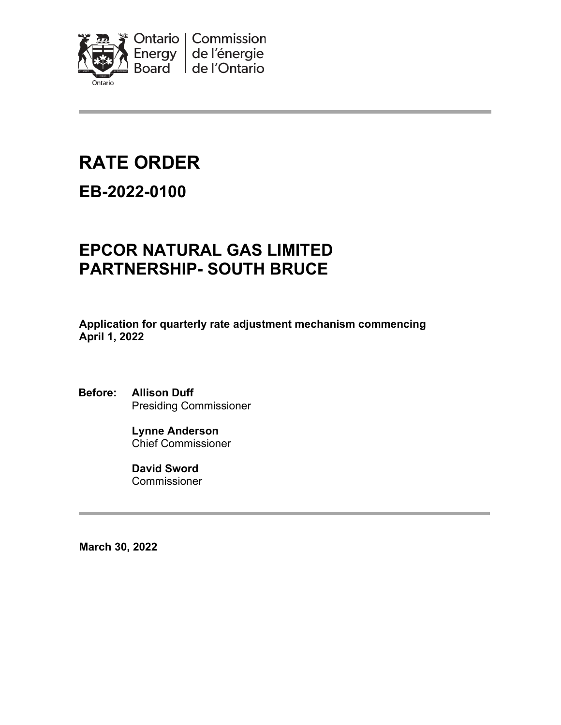

# **RATE ORDER**

## **EB-2022-0100**

## **EPCOR NATURAL GAS LIMITED PARTNERSHIP- SOUTH BRUCE**

**Application for quarterly rate adjustment mechanism commencing April 1, 2022**

**Before: Allison Duff** Presiding Commissioner

> **Lynne Anderson** Chief Commissioner

**David Sword** Commissioner

**March 30, 2022**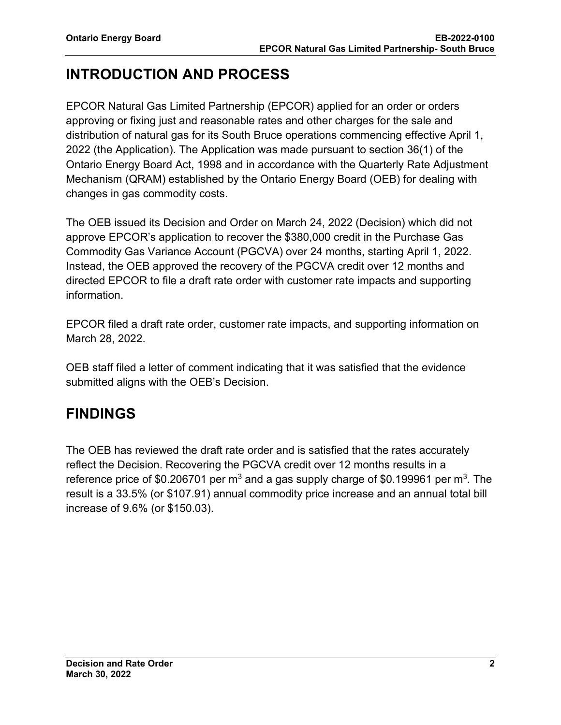## **INTRODUCTION AND PROCESS**

EPCOR Natural Gas Limited Partnership (EPCOR) applied for an order or orders approving or fixing just and reasonable rates and other charges for the sale and distribution of natural gas for its South Bruce operations commencing effective April 1, 2022 (the Application). The Application was made pursuant to section 36(1) of the Ontario Energy Board Act, 1998 and in accordance with the Quarterly Rate Adjustment Mechanism (QRAM) established by the Ontario Energy Board (OEB) for dealing with changes in gas commodity costs.

The OEB issued its Decision and Order on March 24, 2022 (Decision) which did not approve EPCOR's application to recover the \$380,000 credit in the Purchase Gas Commodity Gas Variance Account (PGCVA) over 24 months, starting April 1, 2022. Instead, the OEB approved the recovery of the PGCVA credit over 12 months and directed EPCOR to file a draft rate order with customer rate impacts and supporting information.

EPCOR filed a draft rate order, customer rate impacts, and supporting information on March 28, 2022.

OEB staff filed a letter of comment indicating that it was satisfied that the evidence submitted aligns with the OEB's Decision.

## **FINDINGS**

The OEB has reviewed the draft rate order and is satisfied that the rates accurately reflect the Decision. Recovering the PGCVA credit over 12 months results in a reference price of \$0.206701 per  $m^3$  and a gas supply charge of \$0.199961 per  $m^3$ . The result is a 33.5% (or \$107.91) annual commodity price increase and an annual total bill increase of 9.6% (or \$150.03).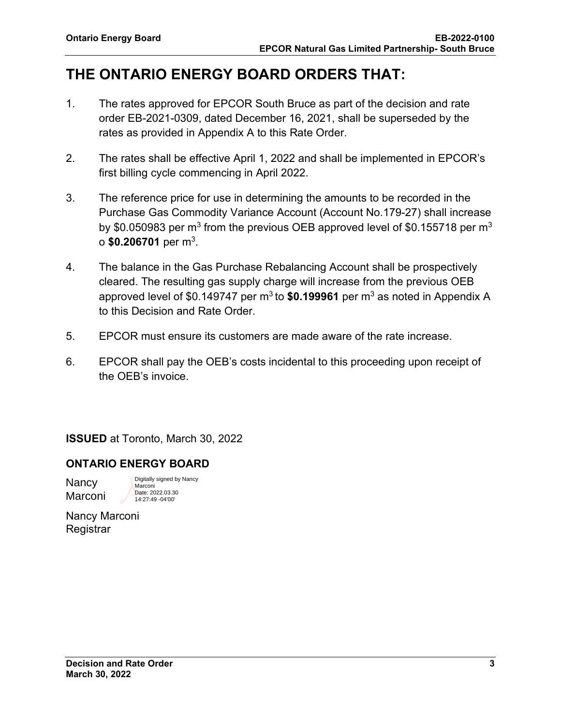## **THE ONTARIO ENERGY BOARD ORDERS THAT:**

- 1. The rates approved for EPCOR South Bruce as part of the decision and rate order EB-2021-0309, dated December 16, 2021, shall be superseded by the rates as provided in Appendix A to this Rate Order.
- 2. The rates shall be effective April 1, 2022 and shall be implemented in EPCOR's first billing cycle commencing in April 2022.
- 3. The reference price for use in determining the amounts to be recorded in the Purchase Gas Commodity Variance Account (Account No.179-27) shall increase by \$0.050983 per m<sup>3</sup> from the previous OEB approved level of \$0.155718 per m<sup>3</sup> o **\$0.206701** per m3.
- 4. The balance in the Gas Purchase Rebalancing Account shall be prospectively cleared. The resulting gas supply charge will increase from the previous OEB approved level of \$0.149747 per  $m^3$  to  $$0.199961$  per  $m^3$  as noted in Appendix A to this Decision and Rate Order.
- 5. EPCOR must ensure its customers are made aware of the rate increase.
- 6. EPCOR shall pay the OEB's costs incidental to this proceeding upon receipt of the OEB's invoice.

**ISSUED** at Toronto, March 30, 2022

## **ONTARIO ENERGY BOARD**

**Nancy Marconi** 

Digitally signed by Nancy Marconi Date: 2022.03.30 14:27:49 -04'00'

Nancy Marconi **Registrar**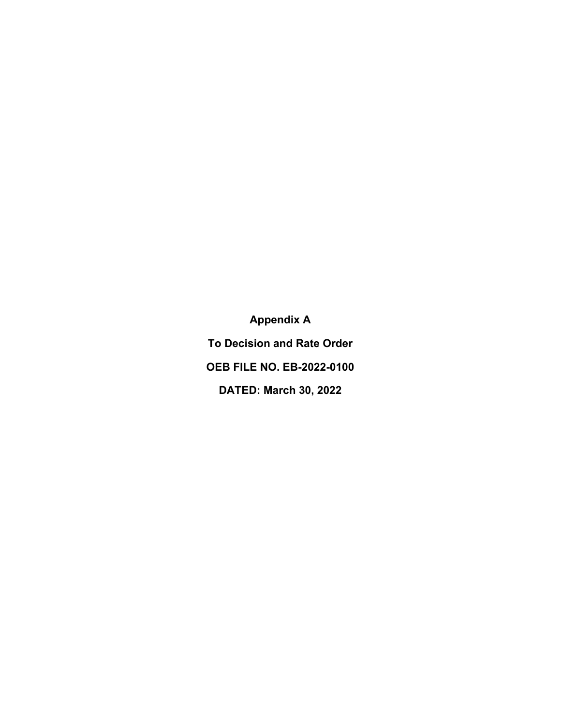**Appendix A To Decision and Rate Order OEB FILE NO. EB-2022-0100 DATED: March 30, 2022**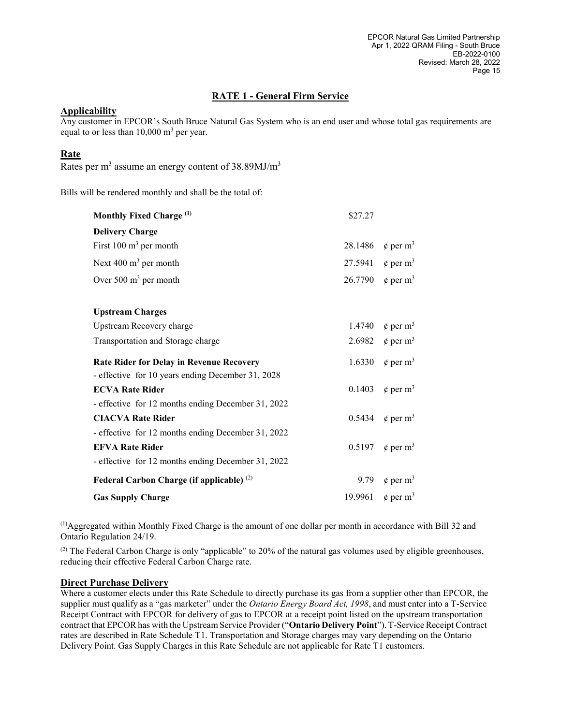#### RATE 1 - General Firm Service

#### **Applicability**

Any customer in EPCOR's South Bruce Natural Gas System who is an end user and whose total gas requirements are equal to or less than  $10,000$  m<sup>3</sup> per year.

#### Rate

Rates per  $m<sup>3</sup>$  assume an energy content of 38.89MJ/ $m<sup>3</sup>$ 

Bills will be rendered monthly and shall be the total of:

| Monthly Fixed Charge (1)                                                                             | \$27.27 |                                      |
|------------------------------------------------------------------------------------------------------|---------|--------------------------------------|
| <b>Delivery Charge</b>                                                                               |         |                                      |
| First $100 \text{ m}^3$ per month                                                                    |         | 28.1486 $\phi$ per m <sup>3</sup>    |
| Next $400 \text{ m}^3$ per month                                                                     |         | 27.5941 $\phi$ per m <sup>3</sup>    |
| Over $500 \text{ m}^3$ per month                                                                     |         | 26.7790 $\phi$ per m <sup>3</sup>    |
| <b>Upstream Charges</b>                                                                              |         |                                      |
| Upstream Recovery charge                                                                             |         | 1.4740 $\epsilon$ per m <sup>3</sup> |
| Transportation and Storage charge                                                                    |         | 2.6982 $\phi$ per m <sup>3</sup>     |
| <b>Rate Rider for Delay in Revenue Recovery</b><br>- effective for 10 years ending December 31, 2028 |         | 1.6330 $\ell$ per m <sup>3</sup>     |
| <b>ECVA Rate Rider</b>                                                                               | 0.1403  | $\phi$ per m <sup>3</sup>            |
| - effective for 12 months ending December 31, 2022                                                   |         |                                      |
| <b>CIACVA Rate Rider</b>                                                                             |         | 0.5434 $\ell$ per m <sup>3</sup>     |
| - effective for 12 months ending December 31, 2022                                                   |         |                                      |
| <b>EFVA Rate Rider</b>                                                                               |         | 0.5197 $\epsilon$ per m <sup>3</sup> |
| - effective for 12 months ending December 31, 2022                                                   |         |                                      |
| Federal Carbon Charge (if applicable) <sup>(2)</sup>                                                 |         | 9.79 $\phi$ per m <sup>3</sup>       |
| <b>Gas Supply Charge</b>                                                                             |         | 19.9961 $\phi$ per m <sup>3</sup>    |

(1)Aggregated within Monthly Fixed Charge is the amount of one dollar per month in accordance with Bill 32 and Ontario Regulation 24/19.

 $^{(2)}$  The Federal Carbon Charge is only "applicable" to 20% of the natural gas volumes used by eligible greenhouses, reducing their effective Federal Carbon Charge rate.

#### Direct Purchase Delivery

Where a customer elects under this Rate Schedule to directly purchase its gas from a supplier other than EPCOR, the supplier must qualify as a "gas marketer" under the *Ontario Energy Board Act, 1998*, and must enter into a T-Service Receipt Contract with EPCOR for delivery of gas to EPCOR at a receipt point listed on the upstream transportation contract that EPCOR has with the Upstream Service Provider ("Ontario Delivery Point"). T-Service Receipt Contract rates are described in Rate Schedule T1. Transportation and Storage charges may vary depending on the Ontario Delivery Point. Gas Supply Charges in this Rate Schedule are not applicable for Rate T1 customers.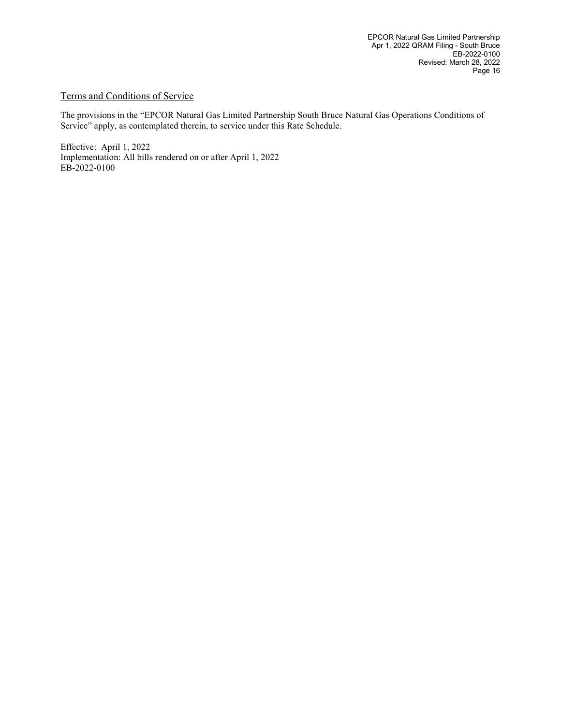#### Terms and Conditions of Service

The provisions in the "EPCOR Natural Gas Limited Partnership South Bruce Natural Gas Operations Conditions of Service" apply, as contemplated therein, to service under this Rate Schedule.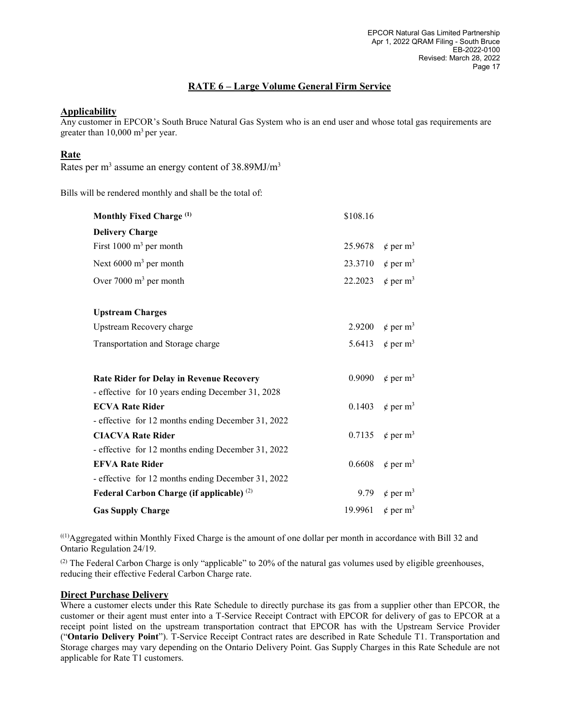### RATE 6 – Large Volume General Firm Service

#### **Applicability**

Any customer in EPCOR's South Bruce Natural Gas System who is an end user and whose total gas requirements are greater than  $10,000$  m<sup>3</sup> per year.

#### Rate

Rates per m<sup>3</sup> assume an energy content of 38.89MJ/m<sup>3</sup>

Bills will be rendered monthly and shall be the total of:

| Monthly Fixed Charge <sup>(1)</sup>                  | \$108.16 |                                      |
|------------------------------------------------------|----------|--------------------------------------|
| <b>Delivery Charge</b>                               |          |                                      |
| First $1000 \text{ m}^3$ per month                   |          | 25.9678 $\phi$ per m <sup>3</sup>    |
| Next $6000 \text{ m}^3$ per month                    |          | 23.3710 $\ell$ per m <sup>3</sup>    |
| Over $7000 \text{ m}^3$ per month                    |          | 22.2023 $\phi$ per m <sup>3</sup>    |
| <b>Upstream Charges</b>                              |          |                                      |
| Upstream Recovery charge                             |          | 2.9200 $\ell$ per m <sup>3</sup>     |
| Transportation and Storage charge                    |          | 5.6413 $\phi$ per m <sup>3</sup>     |
| <b>Rate Rider for Delay in Revenue Recovery</b>      | 0.9090   | $\phi$ per m <sup>3</sup>            |
| - effective for 10 years ending December 31, 2028    |          |                                      |
| <b>ECVA Rate Rider</b>                               |          | 0.1403 $\epsilon$ per m <sup>3</sup> |
| - effective for 12 months ending December 31, 2022   |          |                                      |
| <b>CIACVA Rate Rider</b>                             |          | 0.7135 $\phi$ per m <sup>3</sup>     |
| - effective for 12 months ending December 31, 2022   |          |                                      |
| <b>EFVA Rate Rider</b>                               |          | 0.6608 $\phi$ per m <sup>3</sup>     |
| - effective for 12 months ending December 31, 2022   |          |                                      |
| Federal Carbon Charge (if applicable) <sup>(2)</sup> |          | 9.79 $\phi$ per m <sup>3</sup>       |
| <b>Gas Supply Charge</b>                             |          | 19.9961 $\phi$ per m <sup>3</sup>    |

((1)Aggregated within Monthly Fixed Charge is the amount of one dollar per month in accordance with Bill 32 and Ontario Regulation 24/19.

(2) The Federal Carbon Charge is only "applicable" to 20% of the natural gas volumes used by eligible greenhouses, reducing their effective Federal Carbon Charge rate.

#### Direct Purchase Delivery

Where a customer elects under this Rate Schedule to directly purchase its gas from a supplier other than EPCOR, the customer or their agent must enter into a T-Service Receipt Contract with EPCOR for delivery of gas to EPCOR at a receipt point listed on the upstream transportation contract that EPCOR has with the Upstream Service Provider ("Ontario Delivery Point"). T-Service Receipt Contract rates are described in Rate Schedule T1. Transportation and Storage charges may vary depending on the Ontario Delivery Point. Gas Supply Charges in this Rate Schedule are not applicable for Rate T1 customers.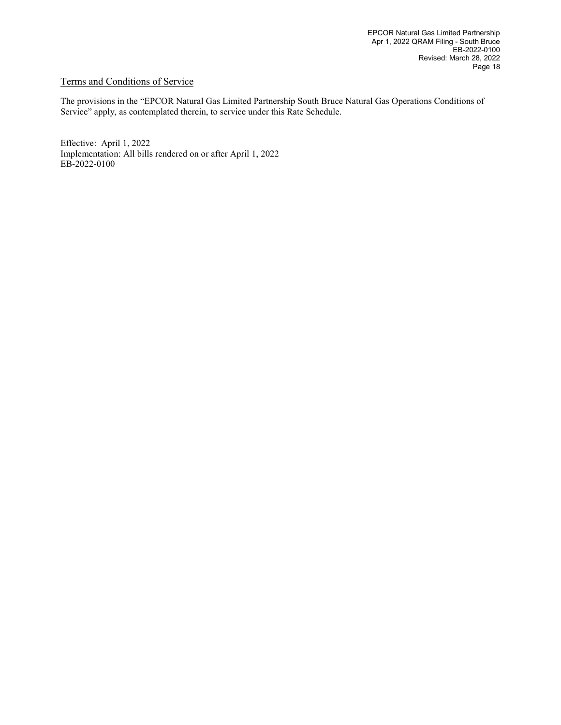#### Terms and Conditions of Service

The provisions in the "EPCOR Natural Gas Limited Partnership South Bruce Natural Gas Operations Conditions of Service" apply, as contemplated therein, to service under this Rate Schedule.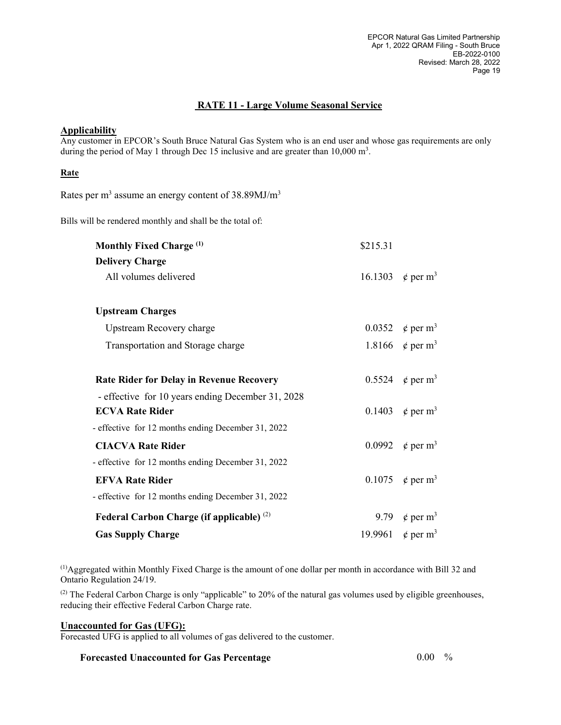### RATE 11 - Large Volume Seasonal Service

#### **Applicability**

Any customer in EPCOR's South Bruce Natural Gas System who is an end user and whose gas requirements are only during the period of May 1 through Dec 15 inclusive and are greater than  $10,000 \text{ m}^3$ .

#### **Rate**

Rates per  $m<sup>3</sup>$  assume an energy content of 38.89MJ/ $m<sup>3</sup>$ 

Bills will be rendered monthly and shall be the total of:

| Monthly Fixed Charge <sup>(1)</sup>                | \$215.31 |                                   |
|----------------------------------------------------|----------|-----------------------------------|
| <b>Delivery Charge</b>                             |          |                                   |
| All volumes delivered                              |          | 16.1303 $\phi$ per m <sup>3</sup> |
|                                                    |          |                                   |
| <b>Upstream Charges</b>                            |          |                                   |
| <b>Upstream Recovery charge</b>                    |          | 0.0352 $\phi$ per m <sup>3</sup>  |
| Transportation and Storage charge                  |          | 1.8166 $\phi$ per m <sup>3</sup>  |
|                                                    |          |                                   |
| <b>Rate Rider for Delay in Revenue Recovery</b>    |          | 0.5524 $\phi$ per m <sup>3</sup>  |
| - effective for 10 years ending December 31, 2028  |          |                                   |
| <b>ECVA Rate Rider</b>                             |          | 0.1403 $\phi$ per m <sup>3</sup>  |
| - effective for 12 months ending December 31, 2022 |          |                                   |
| <b>CIACVA Rate Rider</b>                           |          | 0.0992 $\phi$ per m <sup>3</sup>  |
| - effective for 12 months ending December 31, 2022 |          |                                   |
| <b>EFVA Rate Rider</b>                             |          | 0.1075 $\phi$ per m <sup>3</sup>  |
| - effective for 12 months ending December 31, 2022 |          |                                   |
| Federal Carbon Charge (if applicable) $(2)$        |          | 9.79 $\phi$ per m <sup>3</sup>    |
| <b>Gas Supply Charge</b>                           |          | 19.9961 $\phi$ per m <sup>3</sup> |

(1)Aggregated within Monthly Fixed Charge is the amount of one dollar per month in accordance with Bill 32 and Ontario Regulation 24/19.

(2) The Federal Carbon Charge is only "applicable" to 20% of the natural gas volumes used by eligible greenhouses, reducing their effective Federal Carbon Charge rate.

#### Unaccounted for Gas (UFG):

Forecasted UFG is applied to all volumes of gas delivered to the customer.

#### Forecasted Unaccounted for Gas Percentage  $0.00\frac{9}{6}$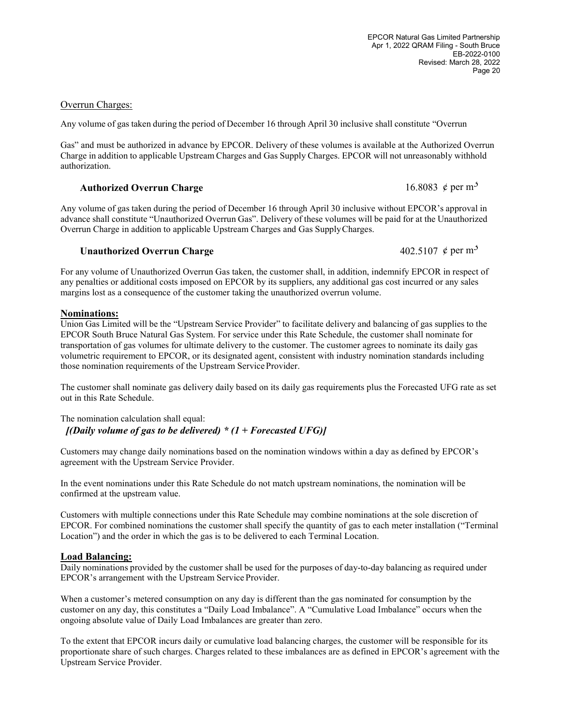EPCOR Natural Gas Limited Partnership Apr 1, 2022 QRAM Filing - South Bruce EB-2022-0100 Revised: March 28, 2022 Page 20

#### Overrun Charges:

Any volume of gas taken during the period of December 16 through April 30 inclusive shall constitute "Overrun

Gas" and must be authorized in advance by EPCOR. Delivery of these volumes is available at the Authorized Overrun Charge in addition to applicable Upstream Charges and Gas Supply Charges. EPCOR will not unreasonably withhold authorization.

## Authorized Overrun Charge 16.8083  $\phi$  per m<sup>3</sup>

Any volume of gas taken during the period of December 16 through April 30 inclusive without EPCOR's approval in advance shall constitute "Unauthorized Overrun Gas". Delivery of these volumes will be paid for at the Unauthorized Overrun Charge in addition to applicable Upstream Charges and Gas Supply Charges.

## Unauthorized Overrun Charge  $402.5107 \notin \text{per m}^3$

For any volume of Unauthorized Overrun Gas taken, the customer shall, in addition, indemnify EPCOR in respect of any penalties or additional costs imposed on EPCOR by its suppliers, any additional gas cost incurred or any sales margins lost as a consequence of the customer taking the unauthorized overrun volume.

### Nominations:

Union Gas Limited will be the "Upstream Service Provider" to facilitate delivery and balancing of gas supplies to the EPCOR South Bruce Natural Gas System. For service under this Rate Schedule, the customer shall nominate for transportation of gas volumes for ultimate delivery to the customer. The customer agrees to nominate its daily gas volumetric requirement to EPCOR, or its designated agent, consistent with industry nomination standards including those nomination requirements of the Upstream Service Provider.

The customer shall nominate gas delivery daily based on its daily gas requirements plus the Forecasted UFG rate as set out in this Rate Schedule.

The nomination calculation shall equal: [(Daily volume of gas to be delivered) \*  $(1 + Forecasted UFG)$ ]

Customers may change daily nominations based on the nomination windows within a day as defined by EPCOR's agreement with the Upstream Service Provider.

In the event nominations under this Rate Schedule do not match upstream nominations, the nomination will be confirmed at the upstream value.

Customers with multiple connections under this Rate Schedule may combine nominations at the sole discretion of EPCOR. For combined nominations the customer shall specify the quantity of gas to each meter installation ("Terminal Location") and the order in which the gas is to be delivered to each Terminal Location.

### Load Balancing:

Daily nominations provided by the customer shall be used for the purposes of day-to-day balancing as required under EPCOR's arrangement with the Upstream Service Provider.

When a customer's metered consumption on any day is different than the gas nominated for consumption by the customer on any day, this constitutes a "Daily Load Imbalance". A "Cumulative Load Imbalance" occurs when the ongoing absolute value of Daily Load Imbalances are greater than zero.

To the extent that EPCOR incurs daily or cumulative load balancing charges, the customer will be responsible for its proportionate share of such charges. Charges related to these imbalances are as defined in EPCOR's agreement with the Upstream Service Provider.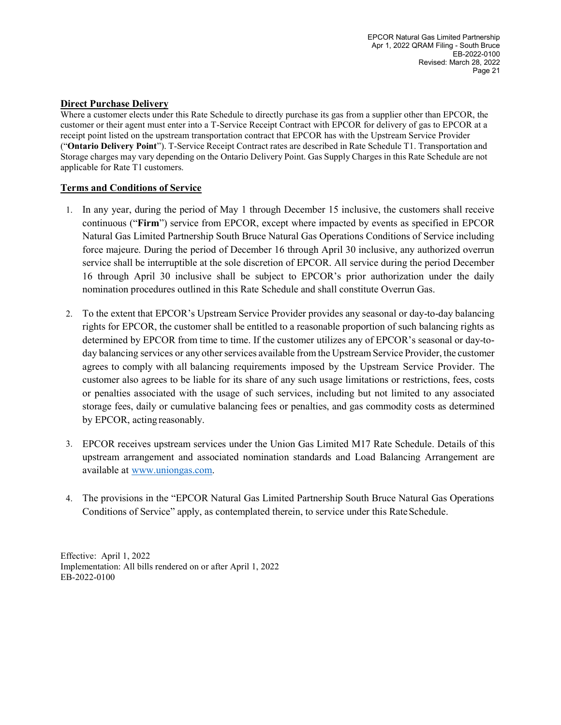#### Direct Purchase Delivery

Where a customer elects under this Rate Schedule to directly purchase its gas from a supplier other than EPCOR, the customer or their agent must enter into a T-Service Receipt Contract with EPCOR for delivery of gas to EPCOR at a receipt point listed on the upstream transportation contract that EPCOR has with the Upstream Service Provider ("Ontario Delivery Point"). T-Service Receipt Contract rates are described in Rate Schedule T1. Transportation and Storage charges may vary depending on the Ontario Delivery Point. Gas Supply Charges in this Rate Schedule are not applicable for Rate T1 customers.

#### Terms and Conditions of Service

- 1. In any year, during the period of May 1 through December 15 inclusive, the customers shall receive continuous ("Firm") service from EPCOR, except where impacted by events as specified in EPCOR Natural Gas Limited Partnership South Bruce Natural Gas Operations Conditions of Service including force majeure. During the period of December 16 through April 30 inclusive, any authorized overrun service shall be interruptible at the sole discretion of EPCOR. All service during the period December 16 through April 30 inclusive shall be subject to EPCOR's prior authorization under the daily nomination procedures outlined in this Rate Schedule and shall constitute Overrun Gas.
- 2. To the extent that EPCOR's Upstream Service Provider provides any seasonal or day-to-day balancing rights for EPCOR, the customer shall be entitled to a reasonable proportion of such balancing rights as determined by EPCOR from time to time. If the customer utilizes any of EPCOR's seasonal or day-today balancing services or any other services available from the Upstream Service Provider, the customer agrees to comply with all balancing requirements imposed by the Upstream Service Provider. The customer also agrees to be liable for its share of any such usage limitations or restrictions, fees, costs or penalties associated with the usage of such services, including but not limited to any associated storage fees, daily or cumulative balancing fees or penalties, and gas commodity costs as determined by EPCOR, acting reasonably.
- 3. EPCOR receives upstream services under the Union Gas Limited M17 Rate Schedule. Details of this upstream arrangement and associated nomination standards and Load Balancing Arrangement are available at www.uniongas.com.
- 4. The provisions in the "EPCOR Natural Gas Limited Partnership South Bruce Natural Gas Operations Conditions of Service" apply, as contemplated therein, to service under this Rate Schedule.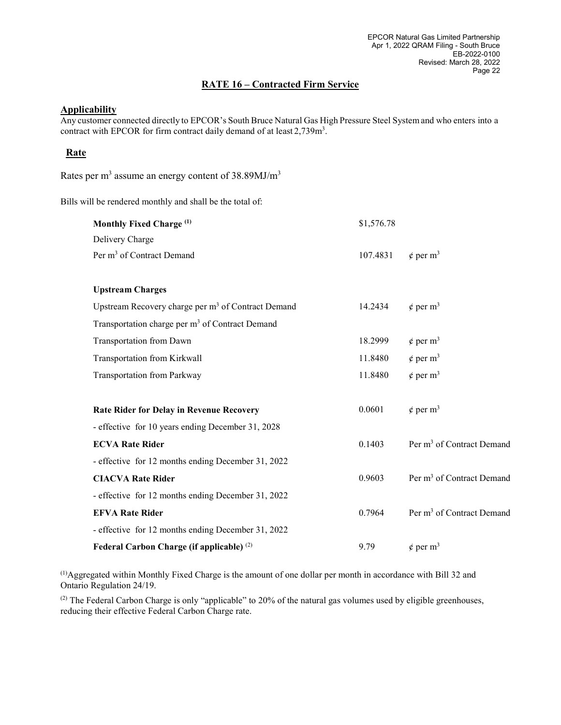#### RATE 16 – Contracted Firm Service

## **Applicability**

Any customer connected directly to EPCOR's South Bruce Natural Gas High Pressure Steel System and who enters into a contract with EPCOR for firm contract daily demand of at least 2,739m<sup>3</sup>.

#### Rate

Rates per m<sup>3</sup> assume an energy content of 38.89MJ/m<sup>3</sup>

Bills will be rendered monthly and shall be the total of:

| Monthly Fixed Charge <sup>(1)</sup>                            | \$1,576.78 |                                       |
|----------------------------------------------------------------|------------|---------------------------------------|
| Delivery Charge                                                |            |                                       |
| Per m <sup>3</sup> of Contract Demand                          | 107.4831   | $\phi$ per m <sup>3</sup>             |
|                                                                |            |                                       |
| <b>Upstream Charges</b>                                        |            |                                       |
| Upstream Recovery charge per m <sup>3</sup> of Contract Demand | 14.2434    | $\phi$ per m <sup>3</sup>             |
| Transportation charge per m <sup>3</sup> of Contract Demand    |            |                                       |
| Transportation from Dawn                                       | 18.2999    | $\phi$ per m <sup>3</sup>             |
| Transportation from Kirkwall                                   | 11.8480    | $\phi$ per m <sup>3</sup>             |
| <b>Transportation from Parkway</b>                             | 11.8480    | $\phi$ per m <sup>3</sup>             |
|                                                                |            |                                       |
| <b>Rate Rider for Delay in Revenue Recovery</b>                | 0.0601     | $\phi$ per m <sup>3</sup>             |
| - effective for 10 years ending December 31, 2028              |            |                                       |
| <b>ECVA Rate Rider</b>                                         | 0.1403     | Per m <sup>3</sup> of Contract Demand |
| - effective for 12 months ending December 31, 2022             |            |                                       |
| <b>CIACVA Rate Rider</b>                                       | 0.9603     | Per m <sup>3</sup> of Contract Demand |
| - effective for 12 months ending December 31, 2022             |            |                                       |
| <b>EFVA Rate Rider</b>                                         | 0.7964     | Per m <sup>3</sup> of Contract Demand |
| - effective for 12 months ending December 31, 2022             |            |                                       |
| Federal Carbon Charge (if applicable) <sup>(2)</sup>           | 9.79       | $\phi$ per m <sup>3</sup>             |

(1)Aggregated within Monthly Fixed Charge is the amount of one dollar per month in accordance with Bill 32 and Ontario Regulation 24/19.

(2) The Federal Carbon Charge is only "applicable" to 20% of the natural gas volumes used by eligible greenhouses, reducing their effective Federal Carbon Charge rate.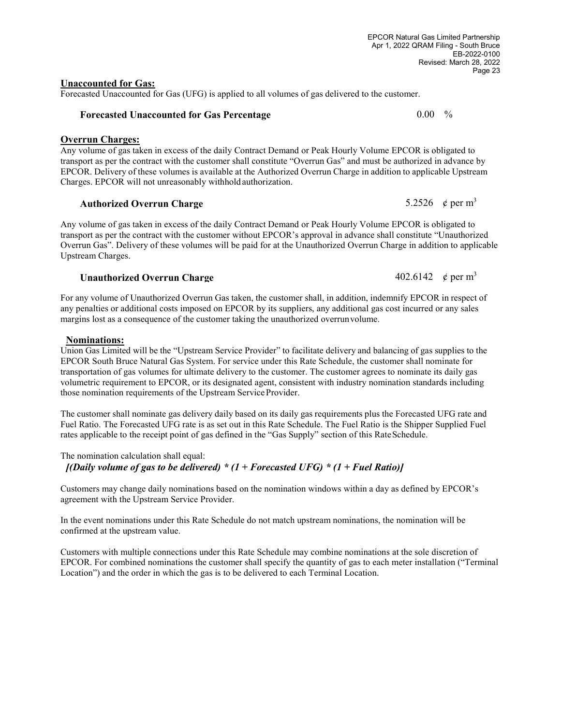#### Unaccounted for Gas:

Forecasted Unaccounted for Gas (UFG) is applied to all volumes of gas delivered to the customer.

#### Forecasted Unaccounted for Gas Percentage  $0.00\quad\%$

#### Overrun Charges:

Any volume of gas taken in excess of the daily Contract Demand or Peak Hourly Volume EPCOR is obligated to transport as per the contract with the customer shall constitute "Overrun Gas" and must be authorized in advance by EPCOR. Delivery of these volumes is available at the Authorized Overrun Charge in addition to applicable Upstream Charges. EPCOR will not unreasonably withhold authorization.

## Authorized Overrun Charge  $5.2526 \notin \text{per m}^3$

Any volume of gas taken in excess of the daily Contract Demand or Peak Hourly Volume EPCOR is obligated to transport as per the contract with the customer without EPCOR's approval in advance shall constitute "Unauthorized Overrun Gas". Delivery of these volumes will be paid for at the Unauthorized Overrun Charge in addition to applicable Upstream Charges.

## Unauthorized Overrun Charge  $402.6142 \times \text{per m}^3$

For any volume of Unauthorized Overrun Gas taken, the customer shall, in addition, indemnify EPCOR in respect of any penalties or additional costs imposed on EPCOR by its suppliers, any additional gas cost incurred or any sales margins lost as a consequence of the customer taking the unauthorized overrun volume.

#### Nominations:

Union Gas Limited will be the "Upstream Service Provider" to facilitate delivery and balancing of gas supplies to the EPCOR South Bruce Natural Gas System. For service under this Rate Schedule, the customer shall nominate for transportation of gas volumes for ultimate delivery to the customer. The customer agrees to nominate its daily gas volumetric requirement to EPCOR, or its designated agent, consistent with industry nomination standards including those nomination requirements of the Upstream Service Provider.

The customer shall nominate gas delivery daily based on its daily gas requirements plus the Forecasted UFG rate and Fuel Ratio. The Forecasted UFG rate is as set out in this Rate Schedule. The Fuel Ratio is the Shipper Supplied Fuel rates applicable to the receipt point of gas defined in the "Gas Supply" section of this Rate Schedule.

The nomination calculation shall equal:

[(Daily volume of gas to be delivered) \*  $(1 + Forecasted UFG)$  \*  $(1 + Fuel Ratio)$ ]

Customers may change daily nominations based on the nomination windows within a day as defined by EPCOR's agreement with the Upstream Service Provider.

In the event nominations under this Rate Schedule do not match upstream nominations, the nomination will be confirmed at the upstream value.

Customers with multiple connections under this Rate Schedule may combine nominations at the sole discretion of EPCOR. For combined nominations the customer shall specify the quantity of gas to each meter installation ("Terminal Location") and the order in which the gas is to be delivered to each Terminal Location.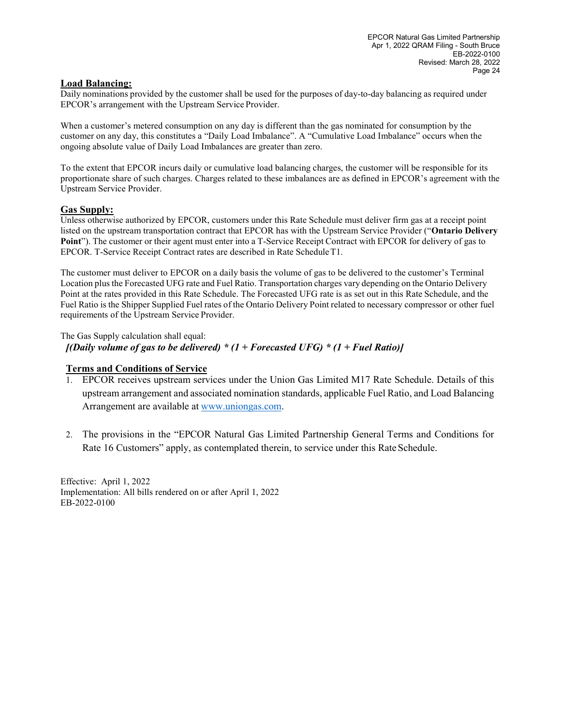#### Load Balancing:

Daily nominations provided by the customer shall be used for the purposes of day-to-day balancing as required under EPCOR's arrangement with the Upstream Service Provider.

When a customer's metered consumption on any day is different than the gas nominated for consumption by the customer on any day, this constitutes a "Daily Load Imbalance". A "Cumulative Load Imbalance" occurs when the ongoing absolute value of Daily Load Imbalances are greater than zero.

To the extent that EPCOR incurs daily or cumulative load balancing charges, the customer will be responsible for its proportionate share of such charges. Charges related to these imbalances are as defined in EPCOR's agreement with the Upstream Service Provider.

#### Gas Supply:

Unless otherwise authorized by EPCOR, customers under this Rate Schedule must deliver firm gas at a receipt point listed on the upstream transportation contract that EPCOR has with the Upstream Service Provider ("Ontario Delivery Point"). The customer or their agent must enter into a T-Service Receipt Contract with EPCOR for delivery of gas to EPCOR. T-Service Receipt Contract rates are described in Rate Schedule T1.

The customer must deliver to EPCOR on a daily basis the volume of gas to be delivered to the customer's Terminal Location plus the Forecasted UFG rate and Fuel Ratio. Transportation charges vary depending on the Ontario Delivery Point at the rates provided in this Rate Schedule. The Forecasted UFG rate is as set out in this Rate Schedule, and the Fuel Ratio is the Shipper Supplied Fuel rates of the Ontario Delivery Point related to necessary compressor or other fuel requirements of the Upstream Service Provider.

The Gas Supply calculation shall equal:

[(Daily volume of gas to be delivered) \*  $(1 + Forecasted UFG)$  \*  $(1 + Fuel Ratio)$ ]

#### Terms and Conditions of Service

- 1. EPCOR receives upstream services under the Union Gas Limited M17 Rate Schedule. Details of this upstream arrangement and associated nomination standards, applicable Fuel Ratio, and Load Balancing Arrangement are available at www.uniongas.com.
- 2. The provisions in the "EPCOR Natural Gas Limited Partnership General Terms and Conditions for Rate 16 Customers" apply, as contemplated therein, to service under this Rate Schedule.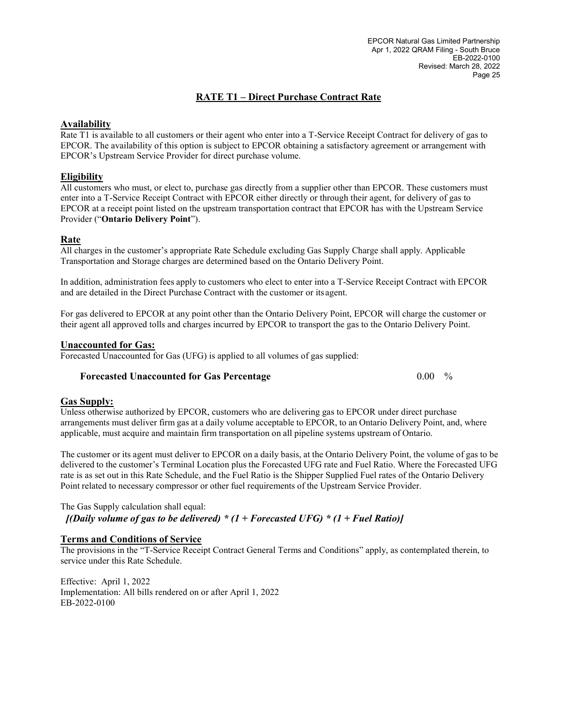#### RATE T1 – Direct Purchase Contract Rate

#### Availability

Rate T1 is available to all customers or their agent who enter into a T-Service Receipt Contract for delivery of gas to EPCOR. The availability of this option is subject to EPCOR obtaining a satisfactory agreement or arrangement with EPCOR's Upstream Service Provider for direct purchase volume.

#### **Eligibility**

All customers who must, or elect to, purchase gas directly from a supplier other than EPCOR. These customers must enter into a T-Service Receipt Contract with EPCOR either directly or through their agent, for delivery of gas to EPCOR at a receipt point listed on the upstream transportation contract that EPCOR has with the Upstream Service Provider ("Ontario Delivery Point").

#### Rate

All charges in the customer's appropriate Rate Schedule excluding Gas Supply Charge shall apply. Applicable Transportation and Storage charges are determined based on the Ontario Delivery Point.

In addition, administration fees apply to customers who elect to enter into a T-Service Receipt Contract with EPCOR and are detailed in the Direct Purchase Contract with the customer or its agent.

For gas delivered to EPCOR at any point other than the Ontario Delivery Point, EPCOR will charge the customer or their agent all approved tolls and charges incurred by EPCOR to transport the gas to the Ontario Delivery Point.

#### Unaccounted for Gas:

Forecasted Unaccounted for Gas (UFG) is applied to all volumes of gas supplied:

#### Forecasted Unaccounted for Gas Percentage  $0.00\frac{9}{6}$

#### Gas Supply:

Unless otherwise authorized by EPCOR, customers who are delivering gas to EPCOR under direct purchase arrangements must deliver firm gas at a daily volume acceptable to EPCOR, to an Ontario Delivery Point, and, where applicable, must acquire and maintain firm transportation on all pipeline systems upstream of Ontario.

The customer or its agent must deliver to EPCOR on a daily basis, at the Ontario Delivery Point, the volume of gas to be delivered to the customer's Terminal Location plus the Forecasted UFG rate and Fuel Ratio. Where the Forecasted UFG rate is as set out in this Rate Schedule, and the Fuel Ratio is the Shipper Supplied Fuel rates of the Ontario Delivery Point related to necessary compressor or other fuel requirements of the Upstream Service Provider.

#### The Gas Supply calculation shall equal: [(Daily volume of gas to be delivered) \*  $(1 + Forecasted UFG)$  \*  $(1 + Fuel Ratio)$ ]

#### Terms and Conditions of Service

The provisions in the "T-Service Receipt Contract General Terms and Conditions" apply, as contemplated therein, to service under this Rate Schedule.